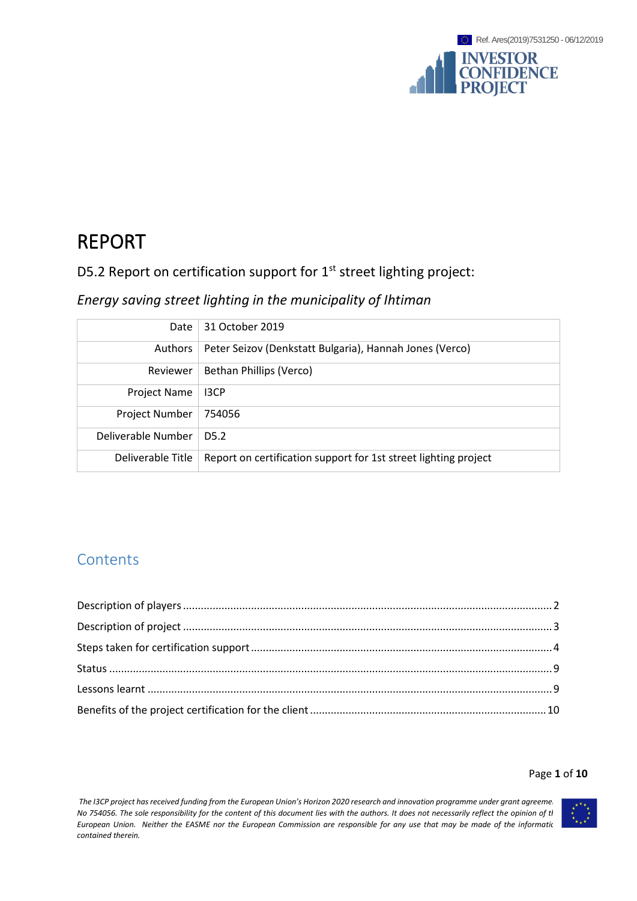

# REPORT

D5.2 Report on certification support for 1<sup>st</sup> street lighting project:

## *Energy saving street lighting in the municipality of Ihtiman*

| Date                  | 31 October 2019                                                 |
|-----------------------|-----------------------------------------------------------------|
| Authors               | Peter Seizov (Denkstatt Bulgaria), Hannah Jones (Verco)         |
| Reviewer              | Bethan Phillips (Verco)                                         |
| <b>Project Name</b>   | 13CP                                                            |
| <b>Project Number</b> | 754056                                                          |
| Deliverable Number    | D <sub>5.2</sub>                                                |
| Deliverable Title     | Report on certification support for 1st street lighting project |

# **Contents**

### Page **1** of **10**

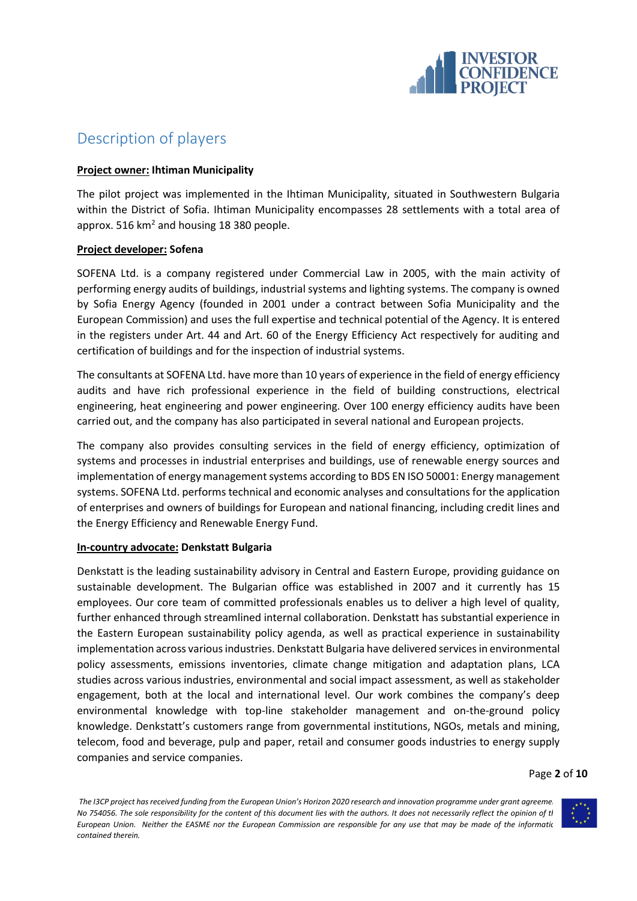

# <span id="page-1-0"></span>Description of players

### **Project owner: Ihtiman Municipality**

The pilot project was implemented in the Ihtiman Municipality, situated in Southwestern Bulgaria within the District of Sofia. Ihtiman Municipality encompasses 28 settlements with a total area of approx. 516  $km^2$  and housing 18 380 people.

## **Project developer: Sofena**

SOFENA Ltd. is a company registered under Commercial Law in 2005, with the main activity of performing energy audits of buildings, industrial systems and lighting systems. The company is owned by Sofia Energy Agency (founded in 2001 under a contract between Sofia Municipality and the European Commission) and uses the full expertise and technical potential of the Agency. It is entered in the registers under Art. 44 and Art. 60 of the Energy Efficiency Act respectively for auditing and certification of buildings and for the inspection of industrial systems.

The consultants at SOFENA Ltd. have more than 10 years of experience in the field of energy efficiency audits and have rich professional experience in the field of building constructions, electrical engineering, heat engineering and power engineering. Over 100 energy efficiency audits have been carried out, and the company has also participated in several national and European projects.

The company also provides consulting services in the field of energy efficiency, optimization of systems and processes in industrial enterprises and buildings, use of renewable energy sources and implementation of energy management systems according to BDS EN ISO 50001: Energy management systems. SOFENA Ltd. performs technical and economic analyses and consultations for the application of enterprises and owners of buildings for European and national financing, including credit lines and the Energy Efficiency and Renewable Energy Fund.

#### **In-country advocate: Denkstatt Bulgaria**

Denkstatt is the leading sustainability advisory in Central and Eastern Europe, providing guidance on sustainable development. The Bulgarian office was established in 2007 and it currently has 15 employees. Our core team of committed professionals enables us to deliver a high level of quality, further enhanced through streamlined internal collaboration. Denkstatt has substantial experience in the Eastern European sustainability policy agenda, as well as practical experience in sustainability implementation across various industries. Denkstatt Bulgaria have delivered services in environmental policy assessments, emissions inventories, climate change mitigation and adaptation plans, LCA studies across various industries, environmental and social impact assessment, as well as stakeholder engagement, both at the local and international level. Our work combines the company's deep environmental knowledge with top-line stakeholder management and on-the-ground policy knowledge. Denkstatt's customers range from governmental institutions, NGOs, metals and mining, telecom, food and beverage, pulp and paper, retail and consumer goods industries to energy supply companies and service companies.

Page **2** of **10**

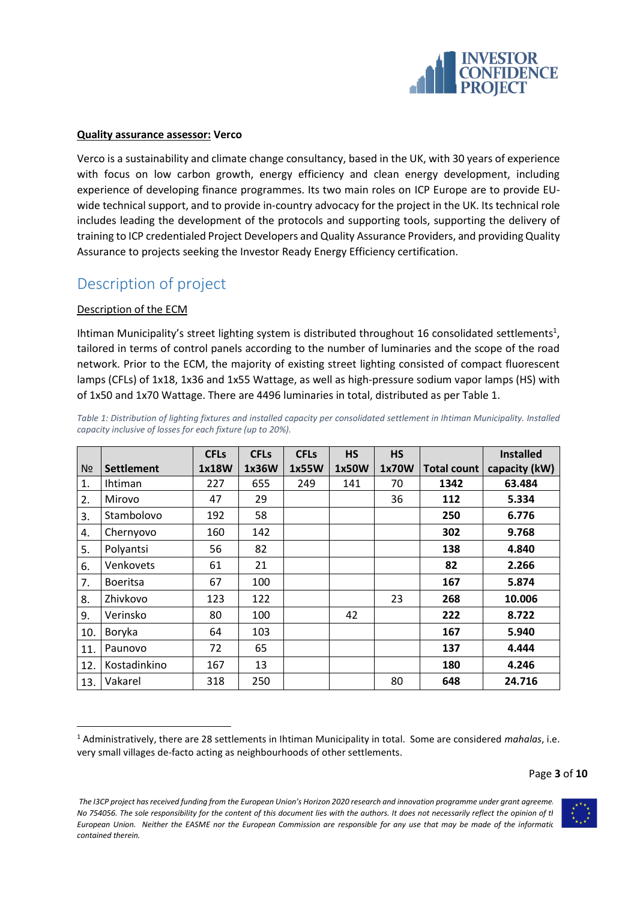

#### **Quality assurance assessor: Verco**

Verco is a sustainability and climate change consultancy, based in the UK, with 30 years of experience with focus on low carbon growth, energy efficiency and clean energy development, including experience of developing finance programmes. Its two main roles on ICP Europe are to provide EUwide technical support, and to provide in-country advocacy for the project in the UK. Its technical role includes leading the development of the protocols and supporting tools, supporting the delivery of training to ICP credentialed Project Developers and Quality Assurance Providers, and providing Quality Assurance to projects seeking the Investor Ready Energy Efficiency certification.

# <span id="page-2-0"></span>Description of project

## Description of the ECM

Ihtiman Municipality's street lighting system is distributed throughout 16 consolidated settlements<sup>1</sup>, tailored in terms of control panels according to the number of luminaries and the scope of the road network. Prior to the ECM, the majority of existing street lighting consisted of compact fluorescent lamps (CFLs) of 1x18, 1x36 and 1x55 Wattage, as well as high-pressure sodium vapor lamps (HS) with of 1x50 and 1x70 Wattage. There are 4496 luminaries in total, distributed as per [Table 1.](#page-2-1)

|     |                   | <b>CFLs</b> | <b>CFLs</b> | <b>CFLs</b> | <b>HS</b> | <b>HS</b> |                    | <b>Installed</b> |
|-----|-------------------|-------------|-------------|-------------|-----------|-----------|--------------------|------------------|
| Nº  | <b>Settlement</b> | 1x18W       | 1x36W       | 1x55W       | 1x50W     | 1x70W     | <b>Total count</b> | capacity (kW)    |
| 1.  | <b>Ihtiman</b>    | 227         | 655         | 249         | 141       | 70        | 1342               | 63.484           |
| 2.  | Mirovo            | 47          | 29          |             |           | 36        | 112                | 5.334            |
| 3.  | Stambolovo        | 192         | 58          |             |           |           | 250                | 6.776            |
| 4.  | Chernyovo         | 160         | 142         |             |           |           | 302                | 9.768            |
| 5.  | Polyantsi         | 56          | 82          |             |           |           | 138                | 4.840            |
| 6.  | Venkovets         | 61          | 21          |             |           |           | 82                 | 2.266            |
| 7.  | <b>Boeritsa</b>   | 67          | 100         |             |           |           | 167                | 5.874            |
| 8.  | Zhivkovo          | 123         | 122         |             |           | 23        | 268                | 10.006           |
| 9.  | Verinsko          | 80          | 100         |             | 42        |           | 222                | 8.722            |
| 10. | Boryka            | 64          | 103         |             |           |           | 167                | 5.940            |
| 11. | Paunovo           | 72          | 65          |             |           |           | 137                | 4.444            |
| 12. | Kostadinkino      | 167         | 13          |             |           |           | 180                | 4.246            |
| 13. | Vakarel           | 318         | 250         |             |           | 80        | 648                | 24.716           |

<span id="page-2-1"></span>*Table 1: Distribution of lighting fixtures and installed capacity per consolidated settlement in Ihtiman Municipality. Installed capacity inclusive of losses for each fixture (up to 20%).*

The I3CP project has received funding from the European Union's Horizon 2020 research and innovation programme under grant agreeme. *No 754056. The sole responsibility for the content of this document lies with the authors. It does not necessarily reflect the opinion of the European Union. Neither the EASME nor the European Commission are responsible for any use that may be made of the informatic contained therein.*



<sup>1</sup> Administratively, there are 28 settlements in Ihtiman Municipality in total. Some are considered *mahalas*, i.e. very small villages de-facto acting as neighbourhoods of other settlements.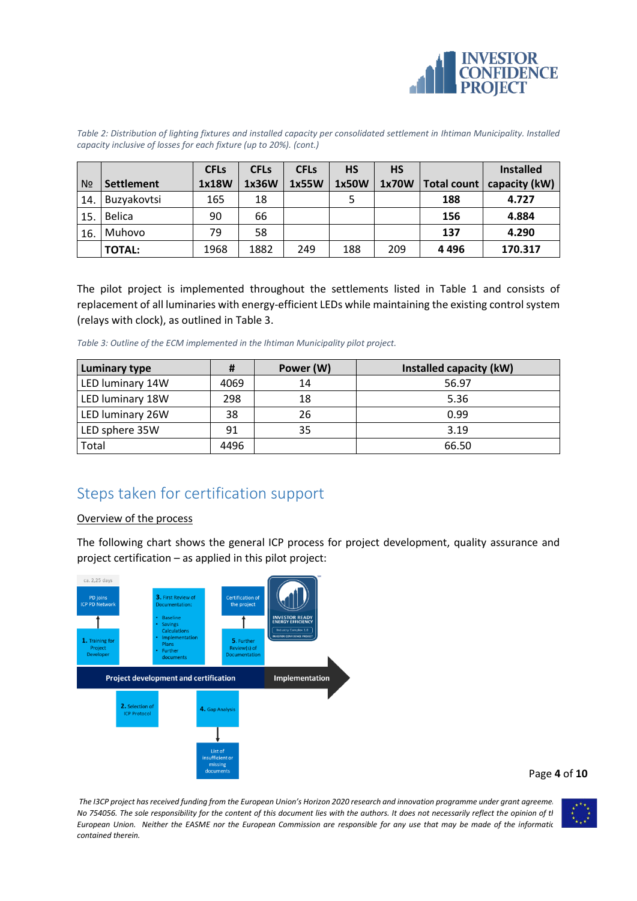

*Table 2: Distribution of lighting fixtures and installed capacity per consolidated settlement in Ihtiman Municipality. Installed capacity inclusive of losses for each fixture (up to 20%). (cont.)*

|                |               | <b>CFLs</b> | <b>CFL<sub>s</sub></b> | <b>CFL<sub>s</sub></b> | НS    | <b>HS</b> |             | <b>Installed</b> |
|----------------|---------------|-------------|------------------------|------------------------|-------|-----------|-------------|------------------|
| N <sub>o</sub> | Settlement    | 1x18W       | 1x36W                  | 1x55W                  | 1x50W | 1x70W     | Total count | capacity (kW)    |
| 14.            | Buzyakovtsi   | 165         | 18                     |                        |       |           | 188         | 4.727            |
| 15.            | <b>Belica</b> | 90          | 66                     |                        |       |           | 156         | 4.884            |
| 16.            | Muhovo        | 79          | 58                     |                        |       |           | 137         | 4.290            |
|                | <b>TOTAL:</b> | 1968        | 1882                   | 249                    | 188   | 209       | 4496        | 170.317          |

The pilot project is implemented throughout the settlements listed in [Table 1](#page-2-1) and consists of replacement of all luminaries with energy-efficient LEDs while maintaining the existing control system (relays with clock), as outlined in [Table 3.](#page-3-1)

<span id="page-3-1"></span>*Table 3: Outline of the ECM implemented in the Ihtiman Municipality pilot project.*

| <b>Luminary type</b> |      | Power (W) | Installed capacity (kW) |
|----------------------|------|-----------|-------------------------|
| LED luminary 14W     | 4069 | 14        | 56.97                   |
| LED luminary 18W     | 298  | 18        | 5.36                    |
| LED luminary 26W     | 38   | 26        | 0.99                    |
| LED sphere 35W       | 91   | 35        | 3.19                    |
| Total                | 4496 |           | 66.50                   |

# <span id="page-3-0"></span>Steps taken for certification support

#### Overview of the process

The following chart shows the general ICP process for project development, quality assurance and project certification – as applied in this pilot project:



Page **4** of **10**

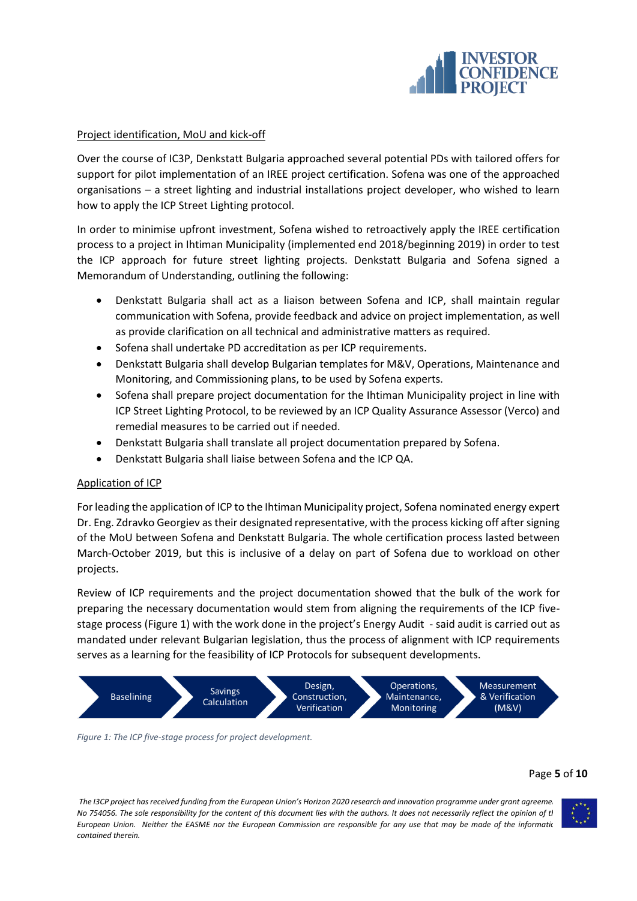

### Project identification, MoU and kick-off

Over the course of IC3P, Denkstatt Bulgaria approached several potential PDs with tailored offers for support for pilot implementation of an IREE project certification. Sofena was one of the approached organisations – a street lighting and industrial installations project developer, who wished to learn how to apply the ICP Street Lighting protocol.

In order to minimise upfront investment, Sofena wished to retroactively apply the IREE certification process to a project in Ihtiman Municipality (implemented end 2018/beginning 2019) in order to test the ICP approach for future street lighting projects. Denkstatt Bulgaria and Sofena signed a Memorandum of Understanding, outlining the following:

- Denkstatt Bulgaria shall act as a liaison between Sofena and ICP, shall maintain regular communication with Sofena, provide feedback and advice on project implementation, as well as provide clarification on all technical and administrative matters as required.
- Sofena shall undertake PD accreditation as per ICP requirements.
- Denkstatt Bulgaria shall develop Bulgarian templates for M&V, Operations, Maintenance and Monitoring, and Commissioning plans, to be used by Sofena experts.
- Sofena shall prepare project documentation for the Ihtiman Municipality project in line with ICP Street Lighting Protocol, to be reviewed by an ICP Quality Assurance Assessor (Verco) and remedial measures to be carried out if needed.
- Denkstatt Bulgaria shall translate all project documentation prepared by Sofena.
- Denkstatt Bulgaria shall liaise between Sofena and the ICP QA.

#### Application of ICP

For leading the application of ICP to the Ihtiman Municipality project, Sofena nominated energy expert Dr. Eng. Zdravko Georgiev as their designated representative, with the process kicking off after signing of the MoU between Sofena and Denkstatt Bulgaria. The whole certification process lasted between March-October 2019, but this is inclusive of a delay on part of Sofena due to workload on other projects.

Review of ICP requirements and the project documentation showed that the bulk of the work for preparing the necessary documentation would stem from aligning the requirements of the ICP fivestage process [\(Figure 1\)](#page-4-0) with the work done in the project's Energy Audit - said audit is carried out as mandated under relevant Bulgarian legislation, thus the process of alignment with ICP requirements serves as a learning for the feasibility of ICP Protocols for subsequent developments.



<span id="page-4-0"></span>*Figure 1: The ICP five-stage process for project development.*

#### Page **5** of **10**

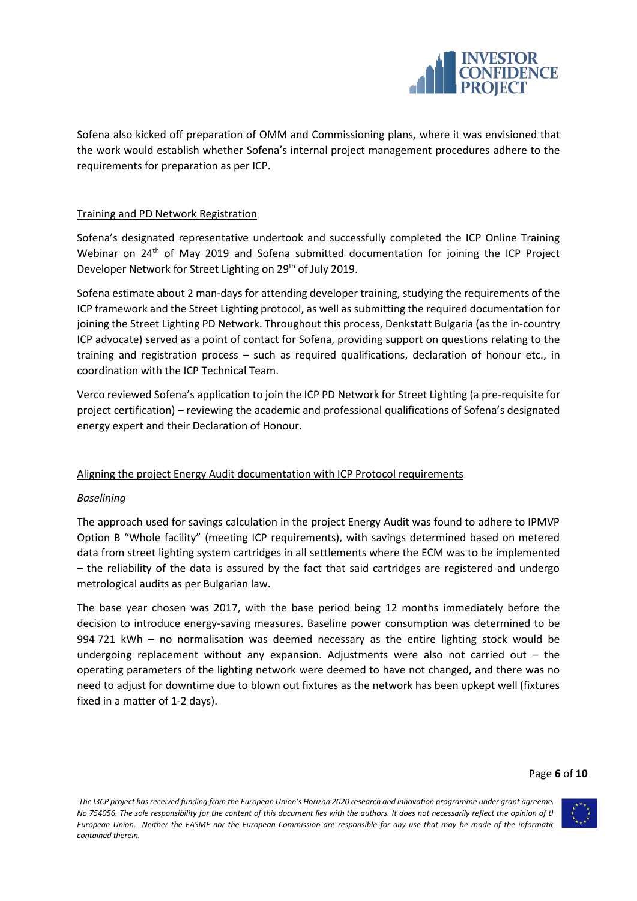

Sofena also kicked off preparation of OMM and Commissioning plans, where it was envisioned that the work would establish whether Sofena's internal project management procedures adhere to the requirements for preparation as per ICP.

## Training and PD Network Registration

Sofena's designated representative undertook and successfully completed the ICP Online Training Webinar on 24<sup>th</sup> of May 2019 and Sofena submitted documentation for joining the ICP Project Developer Network for Street Lighting on 29<sup>th</sup> of July 2019.

Sofena estimate about 2 man-days for attending developer training, studying the requirements of the ICP framework and the Street Lighting protocol, as well as submitting the required documentation for joining the Street Lighting PD Network. Throughout this process, Denkstatt Bulgaria (as the in-country ICP advocate) served as a point of contact for Sofena, providing support on questions relating to the training and registration process – such as required qualifications, declaration of honour etc., in coordination with the ICP Technical Team.

Verco reviewed Sofena's application to join the ICP PD Network for Street Lighting (a pre-requisite for project certification) – reviewing the academic and professional qualifications of Sofena's designated energy expert and their Declaration of Honour.

## Aligning the project Energy Audit documentation with ICP Protocol requirements

#### *Baselining*

The approach used for savings calculation in the project Energy Audit was found to adhere to IPMVP Option B "Whole facility" (meeting ICP requirements), with savings determined based on metered data from street lighting system cartridges in all settlements where the ECM was to be implemented – the reliability of the data is assured by the fact that said cartridges are registered and undergo metrological audits as per Bulgarian law.

The base year chosen was 2017, with the base period being 12 months immediately before the decision to introduce energy-saving measures. Baseline power consumption was determined to be 994 721 kWh – no normalisation was deemed necessary as the entire lighting stock would be undergoing replacement without any expansion. Adjustments were also not carried out  $-$  the operating parameters of the lighting network were deemed to have not changed, and there was no need to adjust for downtime due to blown out fixtures as the network has been upkept well (fixtures fixed in a matter of 1-2 days).

#### Page **6** of **10**

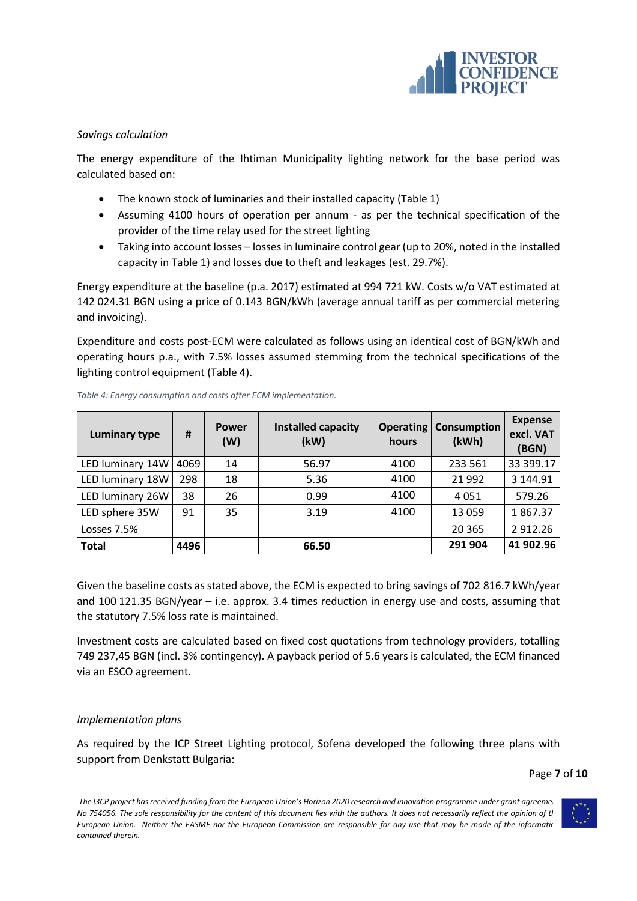

### *Savings calculation*

The energy expenditure of the Ihtiman Municipality lighting network for the base period was calculated based on:

- The known stock of luminaries and their installed capacity [\(Table 1\)](#page-2-1)
- Assuming 4100 hours of operation per annum as per the technical specification of the provider of the time relay used for the street lighting
- Taking into account losses losses in luminaire control gear (up to 20%, noted in the installed capacity in [Table 1\)](#page-2-1) and losses due to theft and leakages (est. 29.7%).

Energy expenditure at the baseline (p.a. 2017) estimated at 994 721 kW. Costs w/o VAT estimated at 142 024.31 BGN using a price of 0.143 BGN/kWh (average annual tariff as per commercial metering and invoicing).

Expenditure and costs post-ECM were calculated as follows using an identical cost of BGN/kWh and operating hours p.a., with 7.5% losses assumed stemming from the technical specifications of the lighting control equipment [\(Table 4\)](#page-6-0).

| <b>Luminary type</b> | #    | <b>Power</b><br>(W) | Installed capacity<br>(kW) | hours | <b>Operating   Consumption</b><br>(kWh) | <b>Expense</b><br>excl. VAT<br>(BGN) |
|----------------------|------|---------------------|----------------------------|-------|-----------------------------------------|--------------------------------------|
| LED luminary 14W     | 4069 | 14                  | 56.97                      | 4100  | 233 561                                 | 33 399.17                            |
| LED luminary 18W     | 298  | 18                  | 5.36                       | 4100  | 21 9 92                                 | 3 144.91                             |
| LED luminary 26W     | 38   | 26                  | 0.99                       | 4100  | 4051                                    | 579.26                               |
| LED sphere 35W       | 91   | 35                  | 3.19                       | 4100  | 13 0 59                                 | 1867.37                              |
| Losses 7.5%          |      |                     |                            |       | 20 3 65                                 | 2912.26                              |
| <b>Total</b>         | 4496 |                     | 66.50                      |       | 291 904                                 | 41 902.96                            |

<span id="page-6-0"></span>*Table 4: Energy consumption and costs after ECM implementation.*

Given the baseline costs as stated above, the ECM is expected to bring savings of 702 816.7 kWh/year and 100 121.35 BGN/year – i.e. approx. 3.4 times reduction in energy use and costs, assuming that the statutory 7.5% loss rate is maintained.

Investment costs are calculated based on fixed cost quotations from technology providers, totalling 749 237,45 BGN (incl. 3% contingency). A payback period of 5.6 years is calculated, the ECM financed via an ESCO agreement.

## *Implementation plans*

As required by the ICP Street Lighting protocol, Sofena developed the following three plans with support from Denkstatt Bulgaria:

Page **7** of **10**

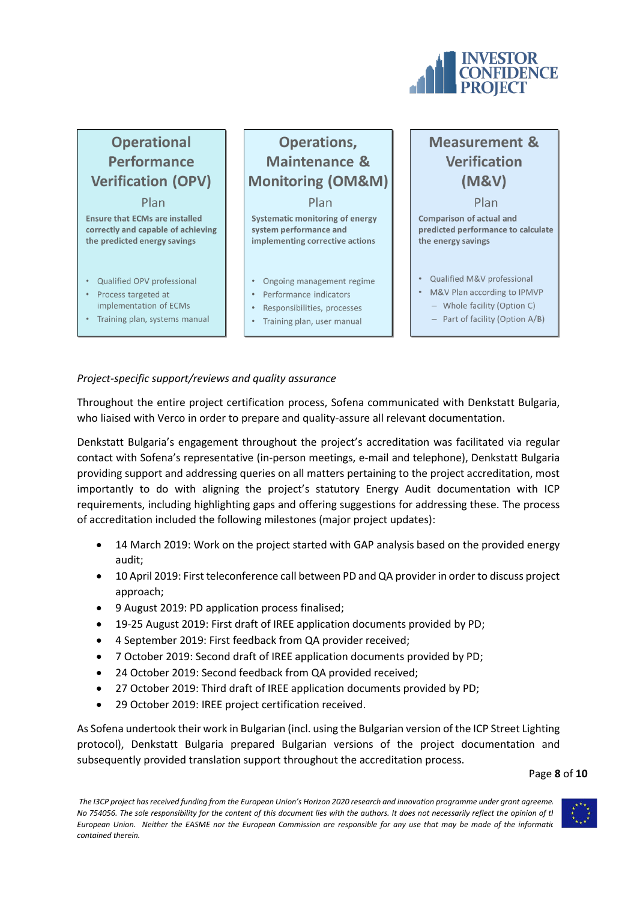

# **Operational Performance Verification (OPV)**

Plan **Ensure that ECMs are installed** correctly and capable of achieving the predicted energy savings

- Qualified OPV professional
- Process targeted at
- implementation of ECMs
- Training plan, systems manual

# Operations, **Maintenance & Monitoring (OM&M)** Plan

**Systematic monitoring of energy** system performance and implementing corrective actions

- Ongoing management regime
- Performance indicators
- Responsibilities, processes
- Training plan, user manual

# **Measurement & Verification** (M&V)

Plan Comparison of actual and predicted performance to calculate the energy savings

- Qualified M&V professional
- M&V Plan according to IPMVP
	- Whole facility (Option C)
	- Part of facility (Option A/B)

## *Project-specific support/reviews and quality assurance*

Throughout the entire project certification process, Sofena communicated with Denkstatt Bulgaria, who liaised with Verco in order to prepare and quality-assure all relevant documentation.

Denkstatt Bulgaria's engagement throughout the project's accreditation was facilitated via regular contact with Sofena's representative (in-person meetings, e-mail and telephone), Denkstatt Bulgaria providing support and addressing queries on all matters pertaining to the project accreditation, most importantly to do with aligning the project's statutory Energy Audit documentation with ICP requirements, including highlighting gaps and offering suggestions for addressing these. The process of accreditation included the following milestones (major project updates):

- 14 March 2019: Work on the project started with GAP analysis based on the provided energy audit;
- 10 April 2019: First teleconference call between PD and QA provider in order to discuss project approach;
- 9 August 2019: PD application process finalised;
- 19-25 August 2019: First draft of IREE application documents provided by PD;
- 4 September 2019: First feedback from QA provider received;
- 7 October 2019: Second draft of IREE application documents provided by PD;
- 24 October 2019: Second feedback from QA provided received;
- 27 October 2019: Third draft of IREE application documents provided by PD;
- 29 October 2019: IREE project certification received.

As Sofena undertook their work in Bulgarian (incl. using the Bulgarian version of the ICP Street Lighting protocol), Denkstatt Bulgaria prepared Bulgarian versions of the project documentation and subsequently provided translation support throughout the accreditation process.

Page **8** of **10**

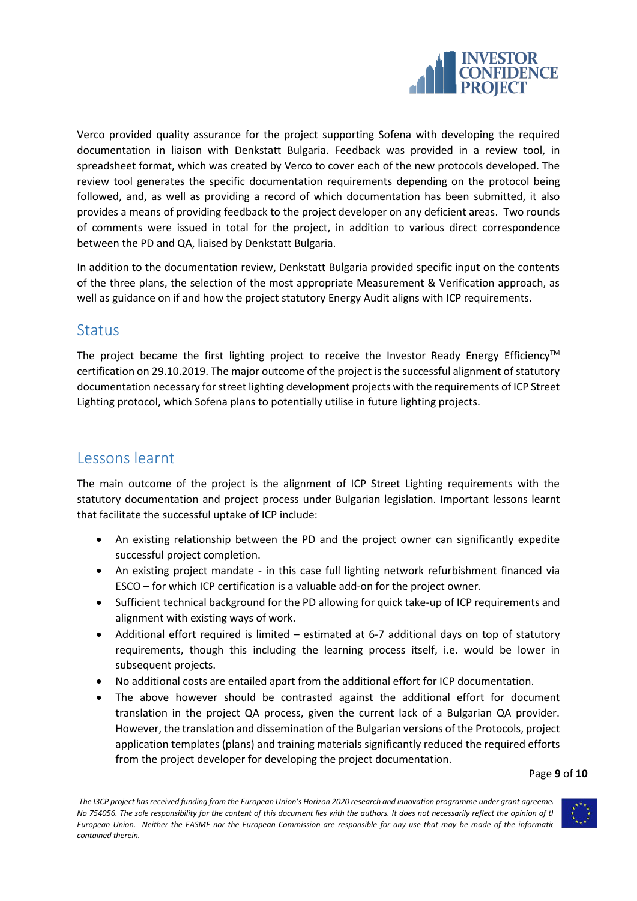

Verco provided quality assurance for the project supporting Sofena with developing the required documentation in liaison with Denkstatt Bulgaria. Feedback was provided in a review tool, in spreadsheet format, which was created by Verco to cover each of the new protocols developed. The review tool generates the specific documentation requirements depending on the protocol being followed, and, as well as providing a record of which documentation has been submitted, it also provides a means of providing feedback to the project developer on any deficient areas. Two rounds of comments were issued in total for the project, in addition to various direct correspondence between the PD and QA, liaised by Denkstatt Bulgaria.

In addition to the documentation review, Denkstatt Bulgaria provided specific input on the contents of the three plans, the selection of the most appropriate Measurement & Verification approach, as well as guidance on if and how the project statutory Energy Audit aligns with ICP requirements.

## <span id="page-8-0"></span>**Status**

The project became the first lighting project to receive the Investor Ready Energy Efficiency<sup>TM</sup> certification on 29.10.2019. The major outcome of the project is the successful alignment of statutory documentation necessary for street lighting development projects with the requirements of ICP Street Lighting protocol, which Sofena plans to potentially utilise in future lighting projects.

# <span id="page-8-1"></span>Lessons learnt

The main outcome of the project is the alignment of ICP Street Lighting requirements with the statutory documentation and project process under Bulgarian legislation. Important lessons learnt that facilitate the successful uptake of ICP include:

- An existing relationship between the PD and the project owner can significantly expedite successful project completion.
- An existing project mandate in this case full lighting network refurbishment financed via ESCO – for which ICP certification is a valuable add-on for the project owner.
- Sufficient technical background for the PD allowing for quick take-up of ICP requirements and alignment with existing ways of work.
- Additional effort required is limited estimated at 6-7 additional days on top of statutory requirements, though this including the learning process itself, i.e. would be lower in subsequent projects.
- No additional costs are entailed apart from the additional effort for ICP documentation.
- The above however should be contrasted against the additional effort for document translation in the project QA process, given the current lack of a Bulgarian QA provider. However, the translation and dissemination of the Bulgarian versions of the Protocols, project application templates (plans) and training materials significantly reduced the required efforts from the project developer for developing the project documentation.

Page **9** of **10**